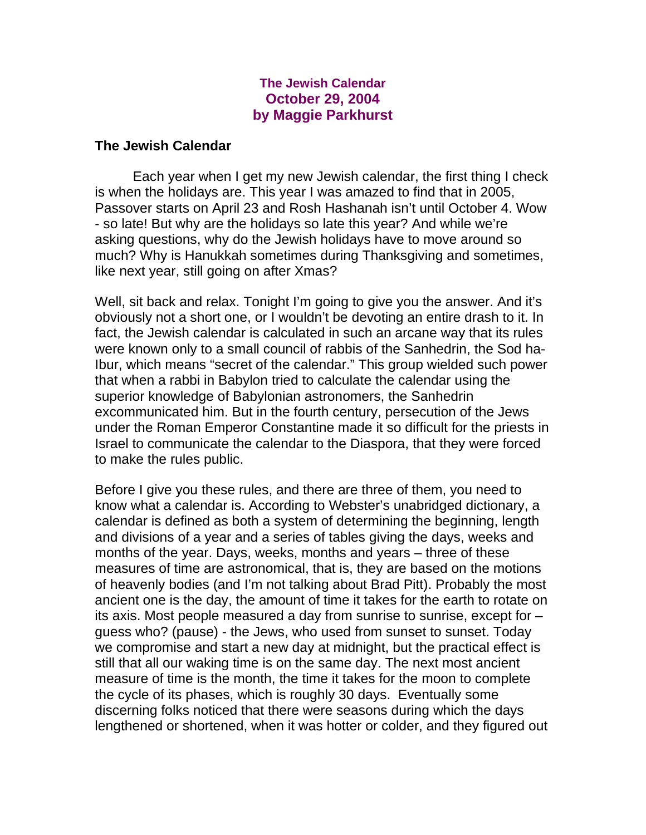## **The Jewish Calendar October 29, 2004 by Maggie Parkhurst**

## **The Jewish Calendar**

 Each year when I get my new Jewish calendar, the first thing I check is when the holidays are. This year I was amazed to find that in 2005, Passover starts on April 23 and Rosh Hashanah isn't until October 4. Wow - so late! But why are the holidays so late this year? And while we're asking questions, why do the Jewish holidays have to move around so much? Why is Hanukkah sometimes during Thanksgiving and sometimes, like next year, still going on after Xmas?

Well, sit back and relax. Tonight I'm going to give you the answer. And it's obviously not a short one, or I wouldn't be devoting an entire drash to it. In fact, the Jewish calendar is calculated in such an arcane way that its rules were known only to a small council of rabbis of the Sanhedrin, the Sod ha-Ibur, which means "secret of the calendar." This group wielded such power that when a rabbi in Babylon tried to calculate the calendar using the superior knowledge of Babylonian astronomers, the Sanhedrin excommunicated him. But in the fourth century, persecution of the Jews under the Roman Emperor Constantine made it so difficult for the priests in Israel to communicate the calendar to the Diaspora, that they were forced to make the rules public.

Before I give you these rules, and there are three of them, you need to know what a calendar is. According to Webster's unabridged dictionary, a calendar is defined as both a system of determining the beginning, length and divisions of a year and a series of tables giving the days, weeks and months of the year. Days, weeks, months and years – three of these measures of time are astronomical, that is, they are based on the motions of heavenly bodies (and I'm not talking about Brad Pitt). Probably the most ancient one is the day, the amount of time it takes for the earth to rotate on its axis. Most people measured a day from sunrise to sunrise, except for – guess who? (pause) - the Jews, who used from sunset to sunset. Today we compromise and start a new day at midnight, but the practical effect is still that all our waking time is on the same day. The next most ancient measure of time is the month, the time it takes for the moon to complete the cycle of its phases, which is roughly 30 days. Eventually some discerning folks noticed that there were seasons during which the days lengthened or shortened, when it was hotter or colder, and they figured out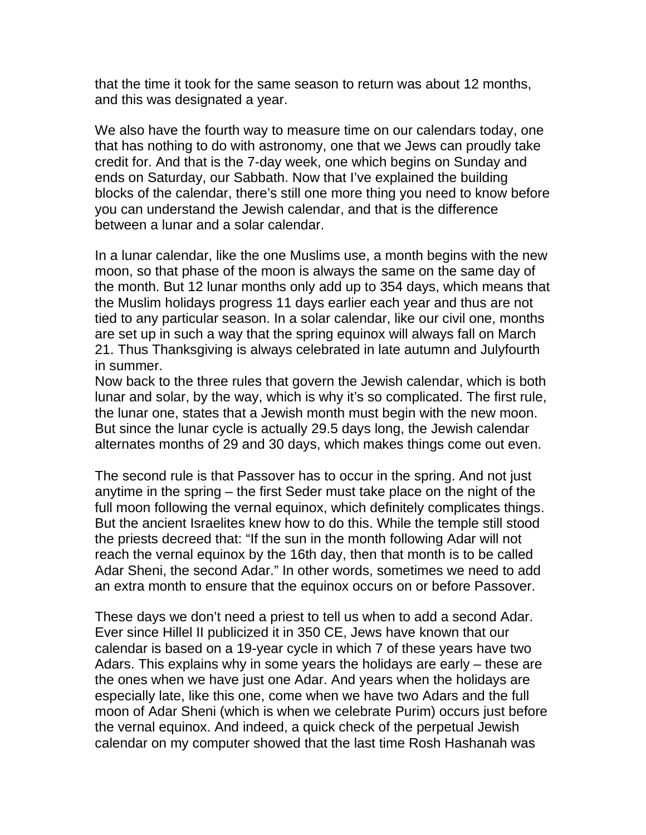that the time it took for the same season to return was about 12 months, and this was designated a year.

We also have the fourth way to measure time on our calendars today, one that has nothing to do with astronomy, one that we Jews can proudly take credit for. And that is the 7-day week, one which begins on Sunday and ends on Saturday, our Sabbath. Now that I've explained the building blocks of the calendar, there's still one more thing you need to know before you can understand the Jewish calendar, and that is the difference between a lunar and a solar calendar.

In a lunar calendar, like the one Muslims use, a month begins with the new moon, so that phase of the moon is always the same on the same day of the month. But 12 lunar months only add up to 354 days, which means that the Muslim holidays progress 11 days earlier each year and thus are not tied to any particular season. In a solar calendar, like our civil one, months are set up in such a way that the spring equinox will always fall on March 21. Thus Thanksgiving is always celebrated in late autumn and Julyfourth in summer.

Now back to the three rules that govern the Jewish calendar, which is both lunar and solar, by the way, which is why it's so complicated. The first rule, the lunar one, states that a Jewish month must begin with the new moon. But since the lunar cycle is actually 29.5 days long, the Jewish calendar alternates months of 29 and 30 days, which makes things come out even.

The second rule is that Passover has to occur in the spring. And not just anytime in the spring – the first Seder must take place on the night of the full moon following the vernal equinox, which definitely complicates things. But the ancient Israelites knew how to do this. While the temple still stood the priests decreed that: "If the sun in the month following Adar will not reach the vernal equinox by the 16th day, then that month is to be called Adar Sheni, the second Adar." In other words, sometimes we need to add an extra month to ensure that the equinox occurs on or before Passover.

These days we don't need a priest to tell us when to add a second Adar. Ever since Hillel II publicized it in 350 CE, Jews have known that our calendar is based on a 19-year cycle in which 7 of these years have two Adars. This explains why in some years the holidays are early – these are the ones when we have just one Adar. And years when the holidays are especially late, like this one, come when we have two Adars and the full moon of Adar Sheni (which is when we celebrate Purim) occurs just before the vernal equinox. And indeed, a quick check of the perpetual Jewish calendar on my computer showed that the last time Rosh Hashanah was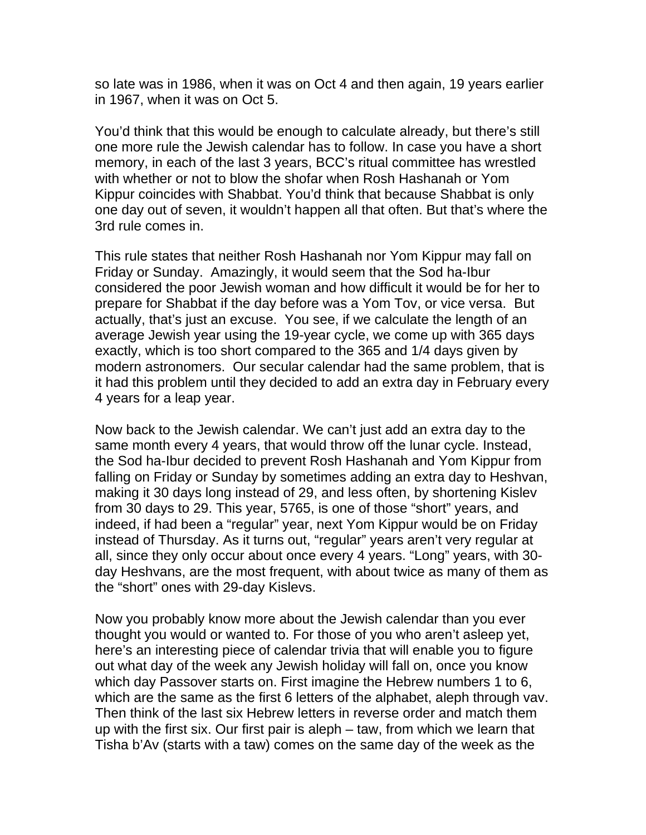so late was in 1986, when it was on Oct 4 and then again, 19 years earlier in 1967, when it was on Oct 5.

You'd think that this would be enough to calculate already, but there's still one more rule the Jewish calendar has to follow. In case you have a short memory, in each of the last 3 years, BCC's ritual committee has wrestled with whether or not to blow the shofar when Rosh Hashanah or Yom Kippur coincides with Shabbat. You'd think that because Shabbat is only one day out of seven, it wouldn't happen all that often. But that's where the 3rd rule comes in.

This rule states that neither Rosh Hashanah nor Yom Kippur may fall on Friday or Sunday. Amazingly, it would seem that the Sod ha-Ibur considered the poor Jewish woman and how difficult it would be for her to prepare for Shabbat if the day before was a Yom Tov, or vice versa. But actually, that's just an excuse. You see, if we calculate the length of an average Jewish year using the 19-year cycle, we come up with 365 days exactly, which is too short compared to the 365 and 1/4 days given by modern astronomers. Our secular calendar had the same problem, that is it had this problem until they decided to add an extra day in February every 4 years for a leap year.

Now back to the Jewish calendar. We can't just add an extra day to the same month every 4 years, that would throw off the lunar cycle. Instead, the Sod ha-Ibur decided to prevent Rosh Hashanah and Yom Kippur from falling on Friday or Sunday by sometimes adding an extra day to Heshvan, making it 30 days long instead of 29, and less often, by shortening Kislev from 30 days to 29. This year, 5765, is one of those "short" years, and indeed, if had been a "regular" year, next Yom Kippur would be on Friday instead of Thursday. As it turns out, "regular" years aren't very regular at all, since they only occur about once every 4 years. "Long" years, with 30 day Heshvans, are the most frequent, with about twice as many of them as the "short" ones with 29-day Kislevs.

Now you probably know more about the Jewish calendar than you ever thought you would or wanted to. For those of you who aren't asleep yet, here's an interesting piece of calendar trivia that will enable you to figure out what day of the week any Jewish holiday will fall on, once you know which day Passover starts on. First imagine the Hebrew numbers 1 to 6, which are the same as the first 6 letters of the alphabet, aleph through vav. Then think of the last six Hebrew letters in reverse order and match them up with the first six. Our first pair is aleph – taw, from which we learn that Tisha b'Av (starts with a taw) comes on the same day of the week as the